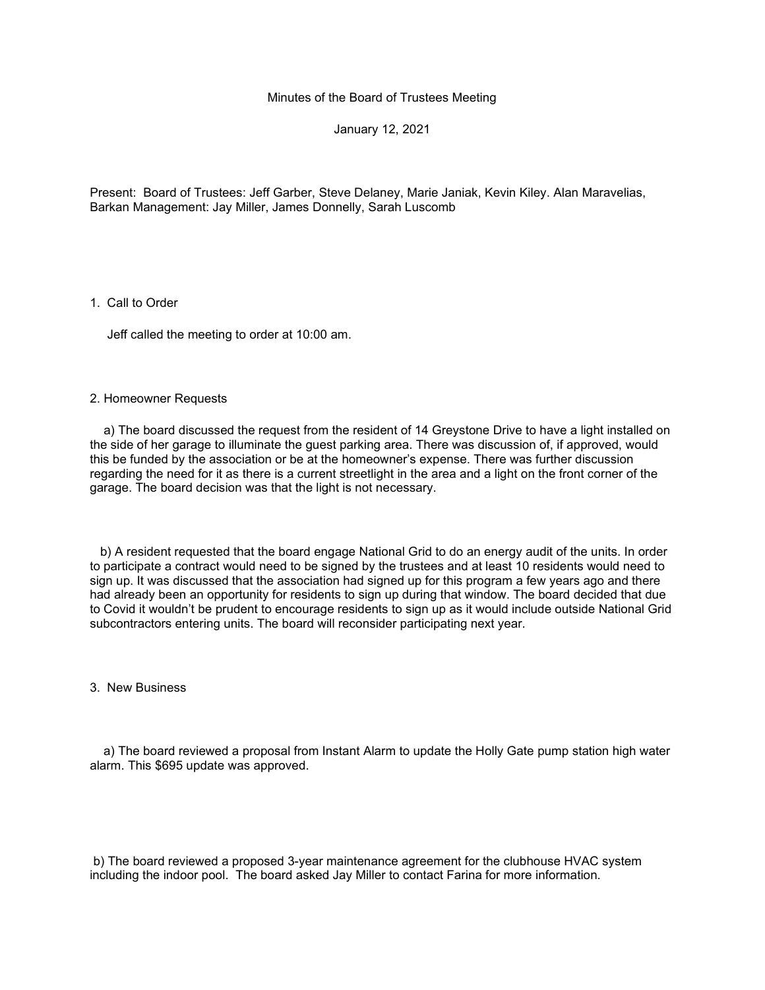Minutes of the Board of Trustees Meeting

January 12, 2021

Present: Board of Trustees: Jeff Garber, Steve Delaney, Marie Janiak, Kevin Kiley. Alan Maravelias, Barkan Management: Jay Miller, James Donnelly, Sarah Luscomb

1. Call to Order

Jeff called the meeting to order at 10:00 am.

## 2. Homeowner Requests

 a) The board discussed the request from the resident of 14 Greystone Drive to have a light installed on the side of her garage to illuminate the guest parking area. There was discussion of, if approved, would this be funded by the association or be at the homeowner's expense. There was further discussion regarding the need for it as there is a current streetlight in the area and a light on the front corner of the garage. The board decision was that the light is not necessary.

 b) A resident requested that the board engage National Grid to do an energy audit of the units. In order to participate a contract would need to be signed by the trustees and at least 10 residents would need to sign up. It was discussed that the association had signed up for this program a few years ago and there had already been an opportunity for residents to sign up during that window. The board decided that due to Covid it wouldn't be prudent to encourage residents to sign up as it would include outside National Grid subcontractors entering units. The board will reconsider participating next year.

3. New Business

 a) The board reviewed a proposal from Instant Alarm to update the Holly Gate pump station high water alarm. This \$695 update was approved.

b) The board reviewed a proposed 3-year maintenance agreement for the clubhouse HVAC system including the indoor pool. The board asked Jay Miller to contact Farina for more information.